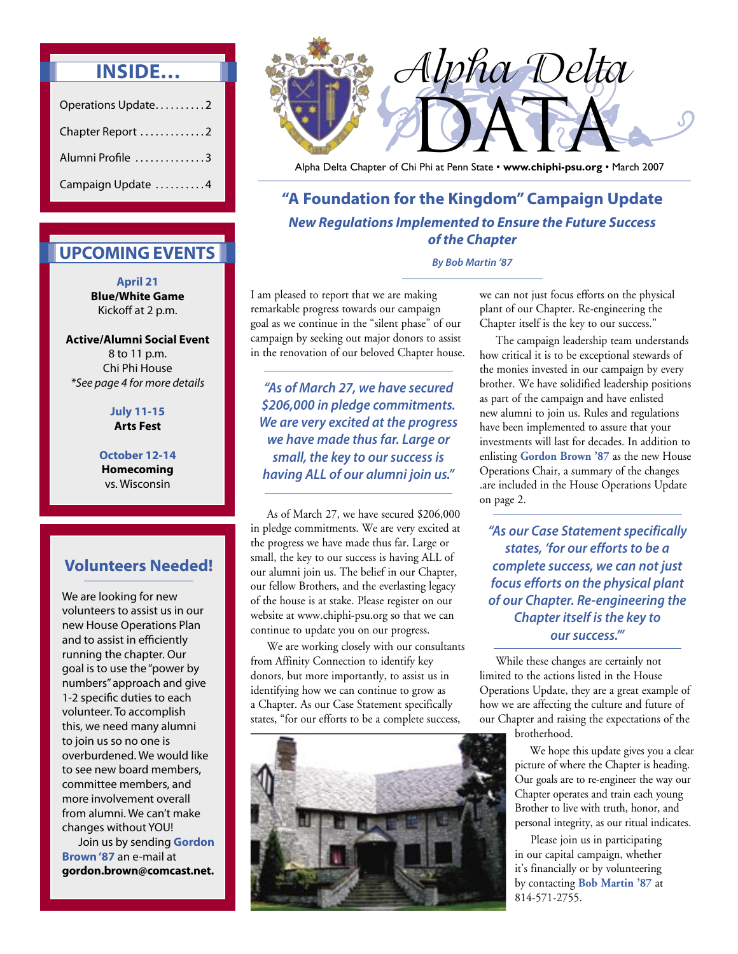# **INSIDE…**

| Operations Update2 |  |
|--------------------|--|
| Chapter Report 2   |  |
| Alumni Profile 3   |  |
| Campaign Update 4  |  |

## **UPCOMING EVENTS**

**April 21 Blue/White Game** Kickoff at 2 p.m.

**Active/Alumni Social Event** 8 to 11 p.m. Chi Phi House \*See page 4 for more details

#### **July 11-15 Arts Fest**

**October 12-14 Homecoming**  vs. Wisconsin

### **Volunteers Needed!**

We are looking for new volunteers to assist us in our new House Operations Plan and to assist in efficiently running the chapter. Our goal is to use the "power by numbers" approach and give 1-2 specific duties to each volunteer. To accomplish this, we need many alumni to join us so no one is overburdened. We would like to see new board members, committee members, and more involvement overall from alumni. We can't make changes without YOU!

 Join us by sending **Gordon Brown '87** an e-mail at **gordon.brown@comcast.net.**



Alpha Delta Chapter of Chi Phi at Penn State • **www.chiphi-psu.org** • March 2007

**"A Foundation for the Kingdom" Campaign Update New Regulations Implemented to Ensure the Future Success of the Chapter** 

**By Bob Martin '87** 

I am pleased to report that we are making remarkable progress towards our campaign goal as we continue in the "silent phase" of our campaign by seeking out major donors to assist in the renovation of our beloved Chapter house.

**"As of March 27, we have secured \$206,000 in pledge commitments. We are very excited at the progress we have made thus far. Large or small, the key to our success is having ALL of our alumni join us."**

 As of March 27, we have secured \$206,000 in pledge commitments. We are very excited at the progress we have made thus far. Large or small, the key to our success is having ALL of our alumni join us. The belief in our Chapter, our fellow Brothers, and the everlasting legacy of the house is at stake. Please register on our website at www.chiphi-psu.org so that we can continue to update you on our progress.

 We are working closely with our consultants from Affinity Connection to identify key donors, but more importantly, to assist us in identifying how we can continue to grow as a Chapter. As our Case Statement specifically states, "for our efforts to be a complete success,



we can not just focus efforts on the physical plant of our Chapter. Re-engineering the Chapter itself is the key to our success."

 The campaign leadership team understands how critical it is to be exceptional stewards of the monies invested in our campaign by every brother. We have solidified leadership positions as part of the campaign and have enlisted new alumni to join us. Rules and regulations have been implemented to assure that your investments will last for decades. In addition to enlisting **Gordon Brown '87** as the new House Operations Chair, a summary of the changes .are included in the House Operations Update on page 2.

**"As our Case Statement specifically states, 'for our efforts to be a complete success, we can not just focus efforts on the physical plant of our Chapter. Re-engineering the Chapter itself is the key to our success.'"**

 While these changes are certainly not limited to the actions listed in the House Operations Update, they are a great example of how we are affecting the culture and future of our Chapter and raising the expectations of the

brotherhood.

 We hope this update gives you a clear picture of where the Chapter is heading. Our goals are to re-engineer the way our Chapter operates and train each young Brother to live with truth, honor, and personal integrity, as our ritual indicates.

 Please join us in participating in our capital campaign, whether it's financially or by volunteering by contacting **Bob Martin '87** at 814-571-2755.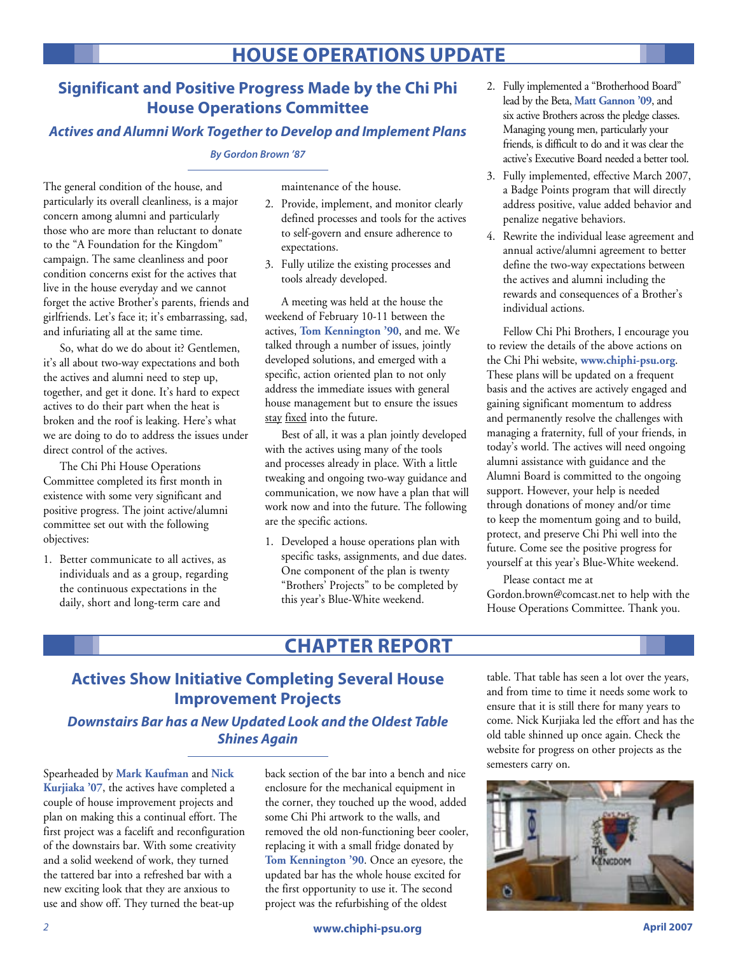# **HOUSE OPERATIONS UPDATE**

### **Significant and Positive Progress Made by the Chi Phi House Operations Committee**

### **Actives and Alumni Work Together to Develop and Implement Plans**

#### **By Gordon Brown '87**

The general condition of the house, and particularly its overall cleanliness, is a major concern among alumni and particularly those who are more than reluctant to donate to the "A Foundation for the Kingdom" campaign. The same cleanliness and poor condition concerns exist for the actives that live in the house everyday and we cannot forget the active Brother's parents, friends and girlfriends. Let's face it; it's embarrassing, sad, and infuriating all at the same time.

 So, what do we do about it? Gentlemen, it's all about two-way expectations and both the actives and alumni need to step up, together, and get it done. It's hard to expect actives to do their part when the heat is broken and the roof is leaking. Here's what we are doing to do to address the issues under direct control of the actives.

 The Chi Phi House Operations Committee completed its first month in existence with some very significant and positive progress. The joint active/alumni committee set out with the following objectives:

1. Better communicate to all actives, as individuals and as a group, regarding the continuous expectations in the daily, short and long-term care and

maintenance of the house.

- 2. Provide, implement, and monitor clearly defined processes and tools for the actives to self-govern and ensure adherence to expectations.
- 3. Fully utilize the existing processes and tools already developed.

 A meeting was held at the house the weekend of February 10-11 between the actives, **Tom Kennington '90**, and me. We talked through a number of issues, jointly developed solutions, and emerged with a specific, action oriented plan to not only address the immediate issues with general house management but to ensure the issues stay fixed into the future.

 Best of all, it was a plan jointly developed with the actives using many of the tools and processes already in place. With a little tweaking and ongoing two-way guidance and communication, we now have a plan that will work now and into the future. The following are the specific actions.

1. Developed a house operations plan with specific tasks, assignments, and due dates. One component of the plan is twenty "Brothers' Projects" to be completed by this year's Blue-White weekend.

- 2. Fully implemented a "Brotherhood Board" lead by the Beta, **Matt Gannon '09**, and six active Brothers across the pledge classes. Managing young men, particularly your friends, is difficult to do and it was clear the active's Executive Board needed a better tool.
- 3. Fully implemented, effective March 2007, a Badge Points program that will directly address positive, value added behavior and penalize negative behaviors.
- 4. Rewrite the individual lease agreement and annual active/alumni agreement to better define the two-way expectations between the actives and alumni including the rewards and consequences of a Brother's individual actions.

 Fellow Chi Phi Brothers, I encourage you to review the details of the above actions on the Chi Phi website, **www.chiphi-psu.org**. These plans will be updated on a frequent basis and the actives are actively engaged and gaining significant momentum to address and permanently resolve the challenges with managing a fraternity, full of your friends, in today's world. The actives will need ongoing alumni assistance with guidance and the Alumni Board is committed to the ongoing support. However, your help is needed through donations of money and/or time to keep the momentum going and to build, protect, and preserve Chi Phi well into the future. Come see the positive progress for yourself at this year's Blue-White weekend.

 Please contact me at Gordon.brown@comcast.net to help with the House Operations Committee. Thank you.

# **CHAPTER REPORT**

## **Actives Show Initiative Completing Several House Improvement Projects**

#### **Downstairs Bar has a New Updated Look and the Oldest Table Shines Again**

Spearheaded by **Mark Kaufman** and **Nick Kurjiaka '07**, the actives have completed a couple of house improvement projects and plan on making this a continual effort. The first project was a facelift and reconfiguration of the downstairs bar. With some creativity and a solid weekend of work, they turned the tattered bar into a refreshed bar with a new exciting look that they are anxious to use and show off. They turned the beat-up

back section of the bar into a bench and nice enclosure for the mechanical equipment in the corner, they touched up the wood, added some Chi Phi artwork to the walls, and removed the old non-functioning beer cooler, replacing it with a small fridge donated by **Tom Kennington '90**. Once an eyesore, the updated bar has the whole house excited for the first opportunity to use it. The second project was the refurbishing of the oldest

table. That table has seen a lot over the years, and from time to time it needs some work to ensure that it is still there for many years to come. Nick Kurjiaka led the effort and has the old table shinned up once again. Check the website for progress on other projects as the semesters carry on.

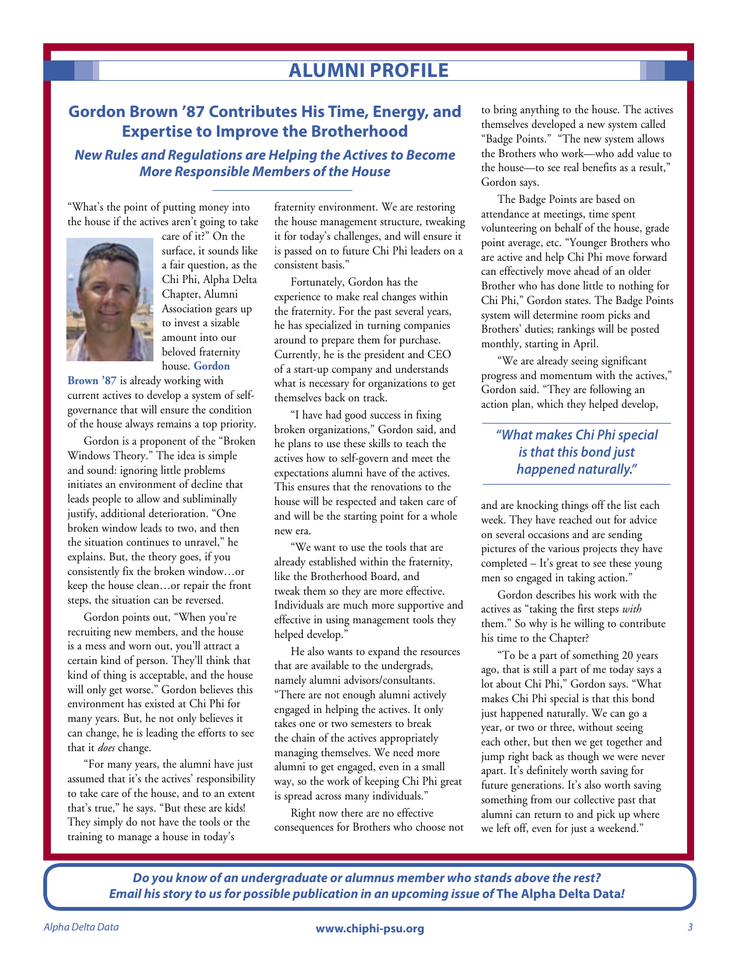# **ALUMNI PROFILE**

### **Gordon Brown '87 Contributes His Time, Energy, and Expertise to Improve the Brotherhood**

**New Rules and Regulations are Helping the Actives to Become More Responsible Members of the House**

"What's the point of putting money into the house if the actives aren't going to take



care of it?" On the surface, it sounds like a fair question, as the Chi Phi, Alpha Delta Chapter, Alumni Association gears up to invest a sizable amount into our beloved fraternity house. **Gordon** 

**Brown '87** is already working with current actives to develop a system of selfgovernance that will ensure the condition of the house always remains a top priority.

 Gordon is a proponent of the "Broken Windows Theory." The idea is simple and sound: ignoring little problems initiates an environment of decline that leads people to allow and subliminally justify, additional deterioration. "One broken window leads to two, and then the situation continues to unravel," he explains. But, the theory goes, if you consistently fix the broken window…or keep the house clean…or repair the front steps, the situation can be reversed.

 Gordon points out, "When you're recruiting new members, and the house is a mess and worn out, you'll attract a certain kind of person. They'll think that kind of thing is acceptable, and the house will only get worse." Gordon believes this environment has existed at Chi Phi for many years. But, he not only believes it can change, he is leading the efforts to see that it *does* change.

 "For many years, the alumni have just assumed that it's the actives' responsibility to take care of the house, and to an extent that's true," he says. "But these are kids! They simply do not have the tools or the training to manage a house in today's

fraternity environment. We are restoring the house management structure, tweaking it for today's challenges, and will ensure it is passed on to future Chi Phi leaders on a consistent basis."

 Fortunately, Gordon has the experience to make real changes within the fraternity. For the past several years, he has specialized in turning companies around to prepare them for purchase. Currently, he is the president and CEO of a start-up company and understands what is necessary for organizations to get themselves back on track.

 "I have had good success in fixing broken organizations," Gordon said, and he plans to use these skills to teach the actives how to self-govern and meet the expectations alumni have of the actives. This ensures that the renovations to the house will be respected and taken care of and will be the starting point for a whole new era.

 "We want to use the tools that are already established within the fraternity, like the Brotherhood Board, and tweak them so they are more effective. Individuals are much more supportive and effective in using management tools they helped develop."

 He also wants to expand the resources that are available to the undergrads, namely alumni advisors/consultants. "There are not enough alumni actively engaged in helping the actives. It only takes one or two semesters to break the chain of the actives appropriately managing themselves. We need more alumni to get engaged, even in a small way, so the work of keeping Chi Phi great is spread across many individuals."

 Right now there are no effective consequences for Brothers who choose not to bring anything to the house. The actives themselves developed a new system called "Badge Points." "The new system allows the Brothers who work—who add value to the house—to see real benefits as a result," Gordon says.

 The Badge Points are based on attendance at meetings, time spent volunteering on behalf of the house, grade point average, etc. "Younger Brothers who are active and help Chi Phi move forward can effectively move ahead of an older Brother who has done little to nothing for Chi Phi," Gordon states. The Badge Points system will determine room picks and Brothers' duties; rankings will be posted monthly, starting in April.

 "We are already seeing significant progress and momentum with the actives," Gordon said. "They are following an action plan, which they helped develop,

#### **"What makes Chi Phi special is that this bond just happened naturally."**

and are knocking things off the list each week. They have reached out for advice on several occasions and are sending pictures of the various projects they have completed – It's great to see these young men so engaged in taking action."

 Gordon describes his work with the actives as "taking the first steps *with* them." So why is he willing to contribute his time to the Chapter?

 "To be a part of something 20 years ago, that is still a part of me today says a lot about Chi Phi," Gordon says. "What makes Chi Phi special is that this bond just happened naturally. We can go a year, or two or three, without seeing each other, but then we get together and jump right back as though we were never apart. It's definitely worth saving for future generations. It's also worth saving something from our collective past that alumni can return to and pick up where we left off, even for just a weekend."

**Do you know of an undergraduate or alumnus member who stands above the rest? Email his story to us for possible publication in an upcoming issue of The Alpha Delta Data!**